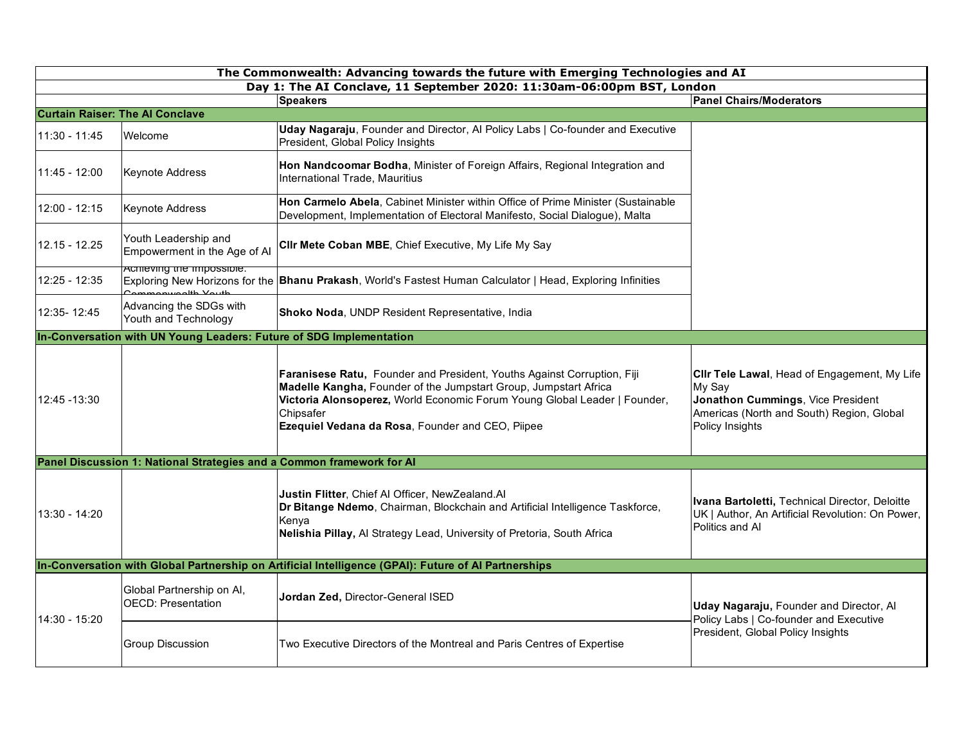| The Commonwealth: Advancing towards the future with Emerging Technologies and AI |                                                                       |                                                                                                                                                                                                                                                                                           |                                                                                                                                                             |  |  |  |
|----------------------------------------------------------------------------------|-----------------------------------------------------------------------|-------------------------------------------------------------------------------------------------------------------------------------------------------------------------------------------------------------------------------------------------------------------------------------------|-------------------------------------------------------------------------------------------------------------------------------------------------------------|--|--|--|
| Day 1: The AI Conclave, 11 September 2020: 11:30am-06:00pm BST, London           |                                                                       |                                                                                                                                                                                                                                                                                           |                                                                                                                                                             |  |  |  |
|                                                                                  |                                                                       | <b>Speakers</b>                                                                                                                                                                                                                                                                           | <b>Panel Chairs/Moderators</b>                                                                                                                              |  |  |  |
|                                                                                  | <b>Curtain Raiser: The AI Conclave</b>                                |                                                                                                                                                                                                                                                                                           |                                                                                                                                                             |  |  |  |
| $11:30 - 11:45$                                                                  | Welcome                                                               | Uday Nagaraju, Founder and Director, Al Policy Labs   Co-founder and Executive<br>President, Global Policy Insights                                                                                                                                                                       |                                                                                                                                                             |  |  |  |
| 11:45 - 12:00                                                                    | Keynote Address                                                       | Hon Nandcoomar Bodha, Minister of Foreign Affairs, Regional Integration and<br>International Trade. Mauritius                                                                                                                                                                             |                                                                                                                                                             |  |  |  |
| $12:00 - 12:15$                                                                  | <b>Keynote Address</b>                                                | Hon Carmelo Abela, Cabinet Minister within Office of Prime Minister (Sustainable<br>Development, Implementation of Electoral Manifesto, Social Dialogue), Malta                                                                                                                           |                                                                                                                                                             |  |  |  |
| $12.15 - 12.25$                                                                  | Youth Leadership and<br>Empowerment in the Age of Al                  | CIIr Mete Coban MBE, Chief Executive, My Life My Say                                                                                                                                                                                                                                      |                                                                                                                                                             |  |  |  |
| 12:25 - 12:35                                                                    | <b>ACTITEVING THE IMPOSSIDIE.</b>                                     | Exploring New Horizons for the <b>Bhanu Prakash</b> , World's Fastest Human Calculator   Head, Exploring Infinities                                                                                                                                                                       |                                                                                                                                                             |  |  |  |
| 12:35-12:45                                                                      | Advancing the SDGs with<br>Youth and Technology                       | Shoko Noda, UNDP Resident Representative, India                                                                                                                                                                                                                                           |                                                                                                                                                             |  |  |  |
|                                                                                  | In-Conversation with UN Young Leaders: Future of SDG Implementation   |                                                                                                                                                                                                                                                                                           |                                                                                                                                                             |  |  |  |
| 12:45 - 13:30                                                                    |                                                                       | Faranisese Ratu, Founder and President, Youths Against Corruption, Fiji<br>Madelle Kangha, Founder of the Jumpstart Group, Jumpstart Africa<br>Victoria Alonsoperez, World Economic Forum Young Global Leader   Founder,<br>Chipsafer<br>Ezequiel Vedana da Rosa, Founder and CEO, Piipee | CIIr Tele Lawal, Head of Engagement, My Life<br>My Say<br>Jonathon Cummings, Vice President<br>Americas (North and South) Region, Global<br>Policy Insights |  |  |  |
|                                                                                  | Panel Discussion 1: National Strategies and a Common framework for Al |                                                                                                                                                                                                                                                                                           |                                                                                                                                                             |  |  |  |
| $13:30 - 14:20$                                                                  |                                                                       | Justin Flitter, Chief Al Officer, NewZealand.Al<br>Dr Bitange Ndemo, Chairman, Blockchain and Artificial Intelligence Taskforce,<br>Kenya<br>Nelishia Pillay, Al Strategy Lead, University of Pretoria, South Africa                                                                      | Ivana Bartoletti, Technical Director, Deloitte<br>UK   Author, An Artificial Revolution: On Power,<br>Politics and Al                                       |  |  |  |
|                                                                                  |                                                                       | In-Conversation with Global Partnership on Artificial Intelligence (GPAI): Future of Al Partnerships                                                                                                                                                                                      |                                                                                                                                                             |  |  |  |
| 14:30 - 15:20                                                                    | Global Partnership on Al,<br><b>OECD: Presentation</b>                | Jordan Zed, Director-General ISED                                                                                                                                                                                                                                                         | Uday Nagaraju, Founder and Director, Al<br>Policy Labs   Co-founder and Executive<br>President, Global Policy Insights                                      |  |  |  |
|                                                                                  | <b>Group Discussion</b>                                               | Two Executive Directors of the Montreal and Paris Centres of Expertise                                                                                                                                                                                                                    |                                                                                                                                                             |  |  |  |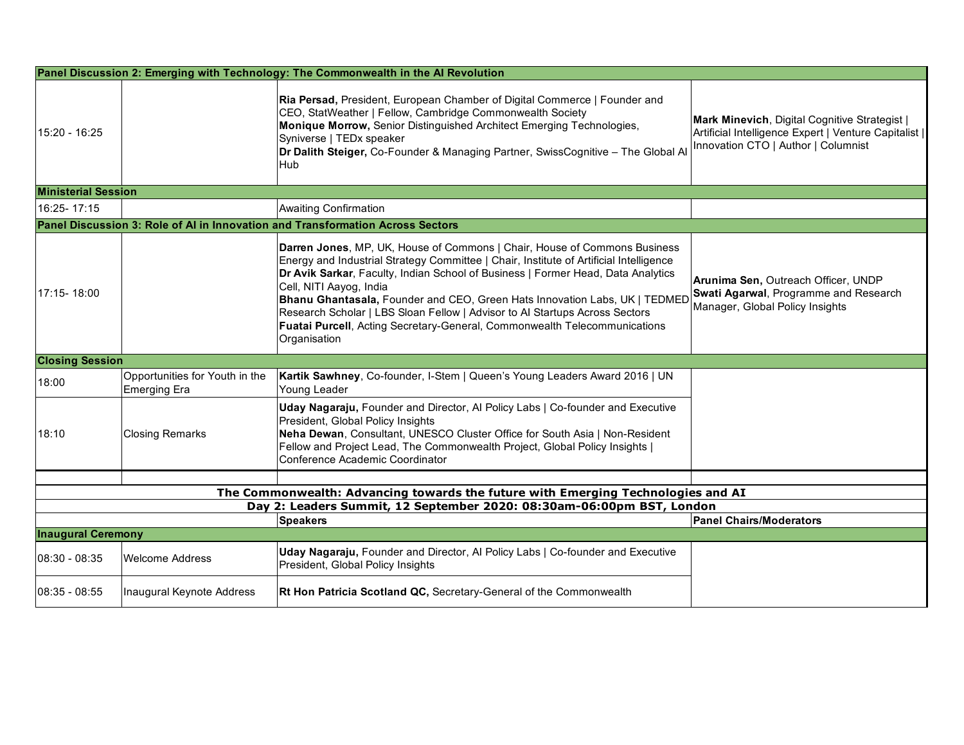|                                                                                                                            |                                                | Panel Discussion 2: Emerging with Technology: The Commonwealth in the Al Revolution                                                                                                                                                                                                                                                                                                                                                                                                                                                                 |                                                                                                                                               |  |  |  |
|----------------------------------------------------------------------------------------------------------------------------|------------------------------------------------|-----------------------------------------------------------------------------------------------------------------------------------------------------------------------------------------------------------------------------------------------------------------------------------------------------------------------------------------------------------------------------------------------------------------------------------------------------------------------------------------------------------------------------------------------------|-----------------------------------------------------------------------------------------------------------------------------------------------|--|--|--|
| 15:20 - 16:25                                                                                                              |                                                | Ria Persad, President, European Chamber of Digital Commerce   Founder and<br>CEO, StatWeather   Fellow, Cambridge Commonwealth Society<br>Monique Morrow, Senior Distinguished Architect Emerging Technologies,<br>Syniverse   TEDx speaker<br>Dr Dalith Steiger, Co-Founder & Managing Partner, SwissCognitive - The Global Al<br>Hub                                                                                                                                                                                                              | Mark Minevich, Digital Cognitive Strategist  <br>Artificial Intelligence Expert   Venture Capitalist  <br>Innovation CTO   Author   Columnist |  |  |  |
| <b>Ministerial Session</b>                                                                                                 |                                                |                                                                                                                                                                                                                                                                                                                                                                                                                                                                                                                                                     |                                                                                                                                               |  |  |  |
| 16:25-17:15                                                                                                                |                                                | <b>Awaiting Confirmation</b>                                                                                                                                                                                                                                                                                                                                                                                                                                                                                                                        |                                                                                                                                               |  |  |  |
|                                                                                                                            |                                                | Panel Discussion 3: Role of AI in Innovation and Transformation Across Sectors                                                                                                                                                                                                                                                                                                                                                                                                                                                                      |                                                                                                                                               |  |  |  |
| 17:15-18:00                                                                                                                |                                                | <b>Darren Jones, MP, UK, House of Commons   Chair, House of Commons Business</b><br>Energy and Industrial Strategy Committee   Chair, Institute of Artificial Intelligence<br>Dr Avik Sarkar, Faculty, Indian School of Business   Former Head, Data Analytics<br>Cell, NITI Aayog, India<br>Bhanu Ghantasala, Founder and CEO, Green Hats Innovation Labs, UK   TEDMED<br>Research Scholar   LBS Sloan Fellow   Advisor to Al Startups Across Sectors<br>Fuatai Purcell, Acting Secretary-General, Commonwealth Telecommunications<br>Organisation | Arunima Sen, Outreach Officer, UNDP<br>Swati Agarwal, Programme and Research<br>Manager, Global Policy Insights                               |  |  |  |
| <b>Closing Session</b>                                                                                                     |                                                |                                                                                                                                                                                                                                                                                                                                                                                                                                                                                                                                                     |                                                                                                                                               |  |  |  |
| 18:00                                                                                                                      | Opportunities for Youth in the<br>Emerging Era | Kartik Sawhney, Co-founder, I-Stem   Queen's Young Leaders Award 2016   UN<br>Young Leader                                                                                                                                                                                                                                                                                                                                                                                                                                                          |                                                                                                                                               |  |  |  |
| 18:10                                                                                                                      | <b>Closing Remarks</b>                         | Uday Nagaraju, Founder and Director, Al Policy Labs   Co-founder and Executive<br>President, Global Policy Insights<br>Neha Dewan, Consultant, UNESCO Cluster Office for South Asia   Non-Resident<br>Fellow and Project Lead, The Commonwealth Project, Global Policy Insights  <br>Conference Academic Coordinator                                                                                                                                                                                                                                |                                                                                                                                               |  |  |  |
|                                                                                                                            |                                                |                                                                                                                                                                                                                                                                                                                                                                                                                                                                                                                                                     |                                                                                                                                               |  |  |  |
|                                                                                                                            |                                                | The Commonwealth: Advancing towards the future with Emerging Technologies and AI                                                                                                                                                                                                                                                                                                                                                                                                                                                                    |                                                                                                                                               |  |  |  |
| Day 2: Leaders Summit, 12 September 2020: 08:30am-06:00pm BST, London<br><b>Speakers</b><br><b>Panel Chairs/Moderators</b> |                                                |                                                                                                                                                                                                                                                                                                                                                                                                                                                                                                                                                     |                                                                                                                                               |  |  |  |
| <b>Inaugural Ceremony</b>                                                                                                  |                                                |                                                                                                                                                                                                                                                                                                                                                                                                                                                                                                                                                     |                                                                                                                                               |  |  |  |
| $08:30 - 08:35$                                                                                                            | <b>Welcome Address</b>                         | Uday Nagaraju, Founder and Director, Al Policy Labs   Co-founder and Executive<br>President, Global Policy Insights                                                                                                                                                                                                                                                                                                                                                                                                                                 |                                                                                                                                               |  |  |  |
| $08:35 - 08:55$                                                                                                            | Inaugural Keynote Address                      | Rt Hon Patricia Scotland QC, Secretary-General of the Commonwealth                                                                                                                                                                                                                                                                                                                                                                                                                                                                                  |                                                                                                                                               |  |  |  |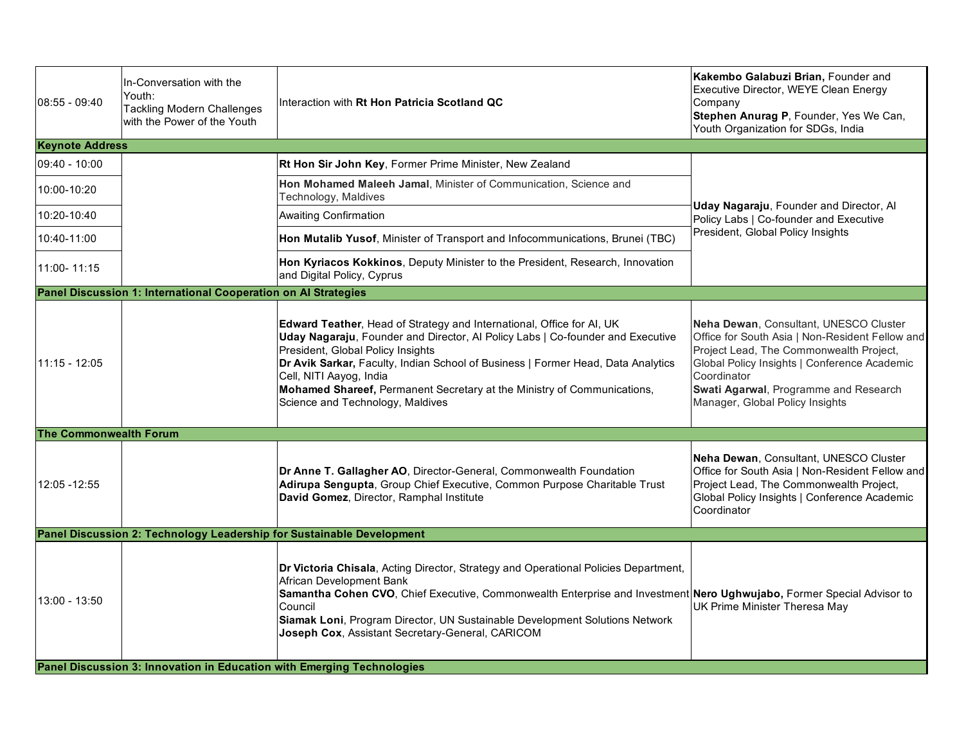| l08:55 - 09:40                                                         | In-Conversation with the<br>Youth:<br><b>Tackling Modern Challenges</b><br>with the Power of the Youth | Interaction with Rt Hon Patricia Scotland QC                                                                                                                                                                                                                                                                                                                                                                               | Kakembo Galabuzi Brian, Founder and<br>Executive Director, WEYE Clean Energy<br>Company<br>Stephen Anurag P, Founder, Yes We Can,<br>Youth Organization for SDGs, India                                                                                                         |  |
|------------------------------------------------------------------------|--------------------------------------------------------------------------------------------------------|----------------------------------------------------------------------------------------------------------------------------------------------------------------------------------------------------------------------------------------------------------------------------------------------------------------------------------------------------------------------------------------------------------------------------|---------------------------------------------------------------------------------------------------------------------------------------------------------------------------------------------------------------------------------------------------------------------------------|--|
| <b>Keynote Address</b>                                                 |                                                                                                        |                                                                                                                                                                                                                                                                                                                                                                                                                            |                                                                                                                                                                                                                                                                                 |  |
| $09:40 - 10:00$                                                        |                                                                                                        | Rt Hon Sir John Key, Former Prime Minister, New Zealand                                                                                                                                                                                                                                                                                                                                                                    | Uday Nagaraju, Founder and Director, Al<br>Policy Labs   Co-founder and Executive<br>President, Global Policy Insights                                                                                                                                                          |  |
| 10:00-10:20                                                            |                                                                                                        | Hon Mohamed Maleeh Jamal, Minister of Communication, Science and<br>Technology, Maldives                                                                                                                                                                                                                                                                                                                                   |                                                                                                                                                                                                                                                                                 |  |
| 10:20-10:40                                                            |                                                                                                        | <b>Awaiting Confirmation</b>                                                                                                                                                                                                                                                                                                                                                                                               |                                                                                                                                                                                                                                                                                 |  |
| 10:40-11:00                                                            |                                                                                                        | Hon Mutalib Yusof, Minister of Transport and Infocommunications, Brunei (TBC)                                                                                                                                                                                                                                                                                                                                              |                                                                                                                                                                                                                                                                                 |  |
| 11:00-11:15                                                            |                                                                                                        | Hon Kyriacos Kokkinos, Deputy Minister to the President, Research, Innovation<br>and Digital Policy, Cyprus                                                                                                                                                                                                                                                                                                                |                                                                                                                                                                                                                                                                                 |  |
|                                                                        | Panel Discussion 1: International Cooperation on Al Strategies                                         |                                                                                                                                                                                                                                                                                                                                                                                                                            |                                                                                                                                                                                                                                                                                 |  |
| $11:15 - 12:05$                                                        |                                                                                                        | Edward Teather, Head of Strategy and International, Office for AI, UK<br>Uday Nagaraju, Founder and Director, Al Policy Labs   Co-founder and Executive<br>President, Global Policy Insights<br>Dr Avik Sarkar, Faculty, Indian School of Business   Former Head, Data Analytics<br>Cell, NITI Aayog, India<br>Mohamed Shareef, Permanent Secretary at the Ministry of Communications,<br>Science and Technology, Maldives | Neha Dewan, Consultant, UNESCO Cluster<br>Office for South Asia   Non-Resident Fellow and<br>Project Lead, The Commonwealth Project,<br>Global Policy Insights   Conference Academic<br>Coordinator<br>Swati Agarwal, Programme and Research<br>Manager, Global Policy Insights |  |
| <b>The Commonwealth Forum</b>                                          |                                                                                                        |                                                                                                                                                                                                                                                                                                                                                                                                                            |                                                                                                                                                                                                                                                                                 |  |
| 12:05 - 12:55                                                          |                                                                                                        | Dr Anne T. Gallagher AO, Director-General, Commonwealth Foundation<br>Adirupa Sengupta, Group Chief Executive, Common Purpose Charitable Trust<br>David Gomez, Director, Ramphal Institute                                                                                                                                                                                                                                 | Neha Dewan, Consultant, UNESCO Cluster<br>Office for South Asia   Non-Resident Fellow and<br>Project Lead, The Commonwealth Project,<br>Global Policy Insights   Conference Academic<br>Coordinator                                                                             |  |
|                                                                        | Panel Discussion 2: Technology Leadership for Sustainable Development                                  |                                                                                                                                                                                                                                                                                                                                                                                                                            |                                                                                                                                                                                                                                                                                 |  |
| $13:00 - 13:50$                                                        |                                                                                                        | Dr Victoria Chisala, Acting Director, Strategy and Operational Policies Department,<br>African Development Bank<br>Samantha Cohen CVO, Chief Executive, Commonwealth Enterprise and Investment Nero Ughwujabo, Former Special Advisor to<br>Council<br>Siamak Loni, Program Director, UN Sustainable Development Solutions Network<br>Joseph Cox, Assistant Secretary-General, CARICOM                                     | UK Prime Minister Theresa May                                                                                                                                                                                                                                                   |  |
| Panel Discussion 3: Innovation in Education with Emerging Technologies |                                                                                                        |                                                                                                                                                                                                                                                                                                                                                                                                                            |                                                                                                                                                                                                                                                                                 |  |